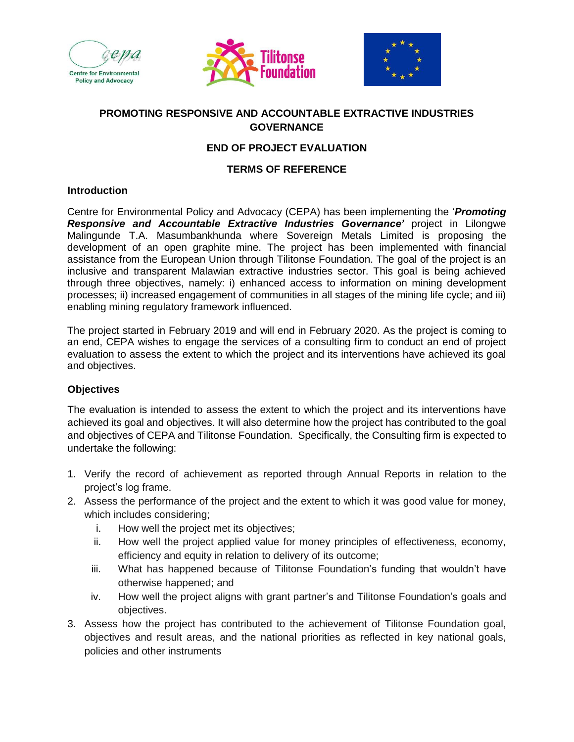





## **PROMOTING RESPONSIVE AND ACCOUNTABLE EXTRACTIVE INDUSTRIES GOVERNANCE**

## **END OF PROJECT EVALUATION**

### **TERMS OF REFERENCE**

#### **Introduction**

Centre for Environmental Policy and Advocacy (CEPA) has been implementing the '*Promoting Responsive and Accountable Extractive Industries Governance'* project in Lilongwe Malingunde T.A. Masumbankhunda where Sovereign Metals Limited is proposing the development of an open graphite mine. The project has been implemented with financial assistance from the European Union through Tilitonse Foundation. The goal of the project is an inclusive and transparent Malawian extractive industries sector. This goal is being achieved through three objectives, namely: i) enhanced access to information on mining development processes; ii) increased engagement of communities in all stages of the mining life cycle; and iii) enabling mining regulatory framework influenced.

The project started in February 2019 and will end in February 2020. As the project is coming to an end, CEPA wishes to engage the services of a consulting firm to conduct an end of project evaluation to assess the extent to which the project and its interventions have achieved its goal and objectives.

#### **Objectives**

The evaluation is intended to assess the extent to which the project and its interventions have achieved its goal and objectives. It will also determine how the project has contributed to the goal and objectives of CEPA and Tilitonse Foundation. Specifically, the Consulting firm is expected to undertake the following:

- 1. Verify the record of achievement as reported through Annual Reports in relation to the project's log frame.
- 2. Assess the performance of the project and the extent to which it was good value for money, which includes considering;
	- i. How well the project met its objectives;
	- ii. How well the project applied value for money principles of effectiveness, economy, efficiency and equity in relation to delivery of its outcome;
	- iii. What has happened because of Tilitonse Foundation's funding that wouldn't have otherwise happened; and
	- iv. How well the project aligns with grant partner's and Tilitonse Foundation's goals and objectives.
- 3. Assess how the project has contributed to the achievement of Tilitonse Foundation goal, objectives and result areas, and the national priorities as reflected in key national goals, policies and other instruments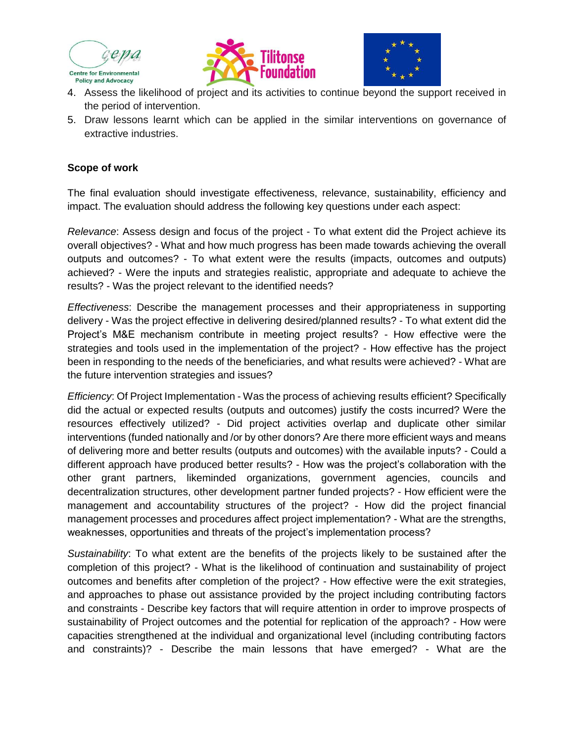





- 4. Assess the likelihood of project and its activities to continue beyond the support received in the period of intervention.
- 5. Draw lessons learnt which can be applied in the similar interventions on governance of extractive industries.

### **Scope of work**

The final evaluation should investigate effectiveness, relevance, sustainability, efficiency and impact. The evaluation should address the following key questions under each aspect:

*Relevance*: Assess design and focus of the project - To what extent did the Project achieve its overall objectives? - What and how much progress has been made towards achieving the overall outputs and outcomes? - To what extent were the results (impacts, outcomes and outputs) achieved? - Were the inputs and strategies realistic, appropriate and adequate to achieve the results? - Was the project relevant to the identified needs?

*Effectiveness*: Describe the management processes and their appropriateness in supporting delivery - Was the project effective in delivering desired/planned results? - To what extent did the Project's M&E mechanism contribute in meeting project results? - How effective were the strategies and tools used in the implementation of the project? - How effective has the project been in responding to the needs of the beneficiaries, and what results were achieved? - What are the future intervention strategies and issues?

*Efficiency*: Of Project Implementation - Was the process of achieving results efficient? Specifically did the actual or expected results (outputs and outcomes) justify the costs incurred? Were the resources effectively utilized? - Did project activities overlap and duplicate other similar interventions (funded nationally and /or by other donors? Are there more efficient ways and means of delivering more and better results (outputs and outcomes) with the available inputs? - Could a different approach have produced better results? - How was the project's collaboration with the other grant partners, likeminded organizations, government agencies, councils and decentralization structures, other development partner funded projects? - How efficient were the management and accountability structures of the project? - How did the project financial management processes and procedures affect project implementation? - What are the strengths, weaknesses, opportunities and threats of the project's implementation process?

*Sustainability*: To what extent are the benefits of the projects likely to be sustained after the completion of this project? - What is the likelihood of continuation and sustainability of project outcomes and benefits after completion of the project? - How effective were the exit strategies, and approaches to phase out assistance provided by the project including contributing factors and constraints - Describe key factors that will require attention in order to improve prospects of sustainability of Project outcomes and the potential for replication of the approach? - How were capacities strengthened at the individual and organizational level (including contributing factors and constraints)? - Describe the main lessons that have emerged? - What are the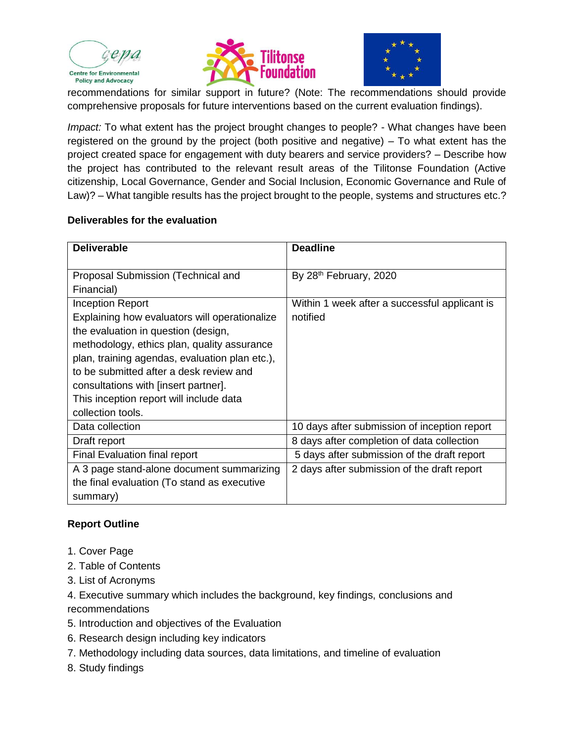





recommendations for similar support in future? (Note: The recommendations should provide comprehensive proposals for future interventions based on the current evaluation findings).

*Impact:* To what extent has the project brought changes to people? - What changes have been registered on the ground by the project (both positive and negative) – To what extent has the project created space for engagement with duty bearers and service providers? – Describe how the project has contributed to the relevant result areas of the Tilitonse Foundation (Active citizenship, Local Governance, Gender and Social Inclusion, Economic Governance and Rule of Law)? – What tangible results has the project brought to the people, systems and structures etc.?

#### **Deliverables for the evaluation**

| <b>Deliverable</b>                             | <b>Deadline</b>                               |
|------------------------------------------------|-----------------------------------------------|
| Proposal Submission (Technical and             | By 28th February, 2020                        |
| Financial)                                     |                                               |
| Inception Report                               | Within 1 week after a successful applicant is |
| Explaining how evaluators will operationalize  | notified                                      |
| the evaluation in question (design,            |                                               |
| methodology, ethics plan, quality assurance    |                                               |
| plan, training agendas, evaluation plan etc.), |                                               |
| to be submitted after a desk review and        |                                               |
| consultations with [insert partner].           |                                               |
| This inception report will include data        |                                               |
| collection tools.                              |                                               |
| Data collection                                | 10 days after submission of inception report  |
| Draft report                                   | 8 days after completion of data collection    |
| Final Evaluation final report                  | 5 days after submission of the draft report   |
| A 3 page stand-alone document summarizing      | 2 days after submission of the draft report   |
| the final evaluation (To stand as executive    |                                               |
| summary)                                       |                                               |

## **Report Outline**

- 1. Cover Page
- 2. Table of Contents
- 3. List of Acronyms

4. Executive summary which includes the background, key findings, conclusions and recommendations

- 5. Introduction and objectives of the Evaluation
- 6. Research design including key indicators
- 7. Methodology including data sources, data limitations, and timeline of evaluation
- 8. Study findings